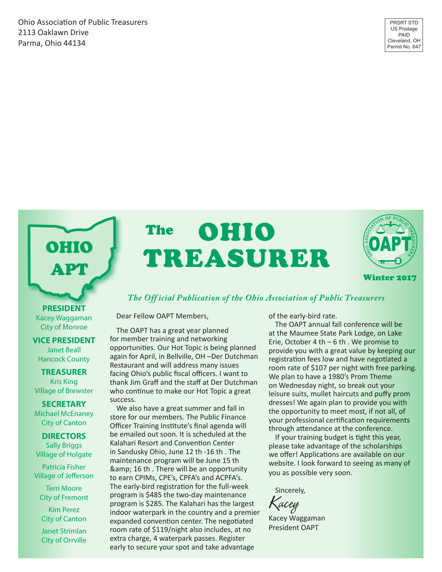Ohio Association of Public Treasurers 2113 Oaklawn Drive Parma, Ohio 44134

OHIO APT

# OHIO TREASURER The



#### *The Off icial Publication of the Ohio Association of Public Treasurers*

Dear Fellow OAPT Members,

The OAPT has a great year planned for member training and networking opportunities. Our Hot Topic is being planned again for April, in Bellville, OH –Der Dutchman Restaurant and will address many issues facing Ohio's public fiscal officers. I want to thank Jim Graff and the staff at Der Dutchman who continue to make our Hot Topic a great success.

We also have a great summer and fall in store for our members. The Public Finance Officer Training Institute's final agenda will be emailed out soon. It is scheduled at the Kalahari Resort and Convention Center in Sandusky Ohio, June 12 th -16 th . The maintenance program will be June 15 th & amp; 16 th. There will be an opportunity to earn CPIMs, CPE's, CPFA's and ACPFA's. The early-bird registration for the full-week program is \$485 the two-day maintenance program is \$285. The Kalahari has the largest indoor waterpark in the country and a premier expanded convention center. The negotiated room rate of \$119/night also includes, at no extra charge, 4 waterpark passes. Register early to secure your spot and take advantage

of the early-bird rate.

The OAPT annual fall conference will be at the Maumee State Park Lodge, on Lake Erie, October 4 th – 6 th . We promise to provide you with a great value by keeping our registration fees low and have negotiated a room rate of \$107 per night with free parking. We plan to have a 1980's Prom Theme on Wednesday night, so break out your leisure suits, mullet haircuts and puffy prom dresses! We again plan to provide you with the opportunity to meet most, if not all, of your professional certification requirements through attendance at the conference.

If your training budget is tight this year, please take advantage of the scholarships we offer! Applications are available on our website. I look forward to seeing as many of you as possible very soon.

Sincerely,

Kacey

Kacey Waggaman President OAPT

**PRESIDENT** Kacey Waggaman City of Monroe

#### **VICE PRESIDENT** Janet Beall

Hancock County

**TREASURER** Kris King Village of Brewster

#### **SECRETARY**

Michael McEnaney City of Canton

#### **DIRECTORS**

Sally Briggs Village of Holgate

Patricia Fisher Village of Jefferson

Terri Moore City of Fremont

Kim Perez City of Canton

Janet Strimlan City of Orrville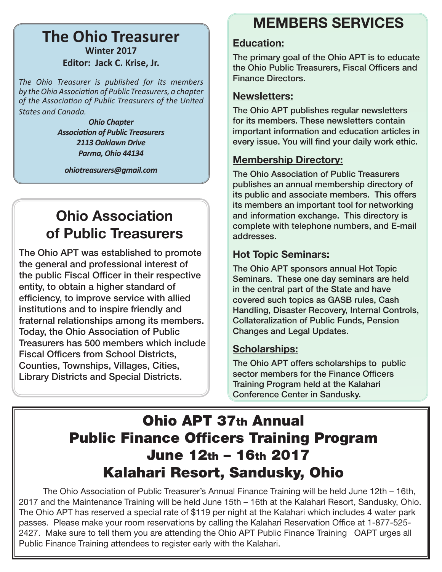## **The Ohio Treasurer Winter 2017 Editor: Jack C. Krise, Jr.**

*The Ohio Treasurer is published for its members by the Ohio Association of Public Treasurers, a chapter of the Association of Public Treasurers of the United States and Canada.*

> *Ohio Chapter Association of Public Treasurers 2113 Oaklawn Drive Parma, Ohio 44134*

*ohiotreasurers@gmail.com*

# Ohio Association of Public Treasurers

The Ohio APT was established to promote the general and professional interest of the public Fiscal Officer in their respective entity, to obtain a higher standard of efficiency, to improve service with allied institutions and to inspire friendly and fraternal relationships among its members. Today, the Ohio Association of Public Treasurers has 500 members which include Fiscal Officers from School Districts, Counties, Townships, Villages, Cities, Library Districts and Special Districts.

# MEMBERS SERVICES

### Education:

The primary goal of the Ohio APT is to educate the Ohio Public Treasurers, Fiscal Officers and Finance Directors.

### Newsletters:

The Ohio APT publishes regular newsletters for its members. These newsletters contain important information and education articles in every issue. You will find your daily work ethic.

### Membership Directory:

The Ohio Association of Public Treasurers publishes an annual membership directory of its public and associate members. This offers its members an important tool for networking and information exchange. This directory is complete with telephone numbers, and E-mail addresses.

### Hot Topic Seminars:

The Ohio APT sponsors annual Hot Topic Seminars. These one day seminars are held in the central part of the State and have covered such topics as GASB rules, Cash Handling, Disaster Recovery, Internal Controls, Collateralization of Public Funds, Pension Changes and Legal Updates.

### Scholarships:

The Ohio APT offers scholarships to public sector members for the Finance Officers Training Program held at the Kalahari Conference Center in Sandusky.

# Ohio APT 37th Annual Public Finance Officers Training Program June 12th – 16th 2017 Kalahari Resort, Sandusky, Ohio

 The Ohio Association of Public Treasurer's Annual Finance Training will be held June 12th – 16th, 2017 and the Maintenance Training will be held June 15th – 16th at the Kalahari Resort, Sandusky, Ohio. The Ohio APT has reserved a special rate of \$119 per night at the Kalahari which includes 4 water park passes. Please make your room reservations by calling the Kalahari Reservation Office at 1-877-525- 2427. Make sure to tell them you are attending the Ohio APT Public Finance Training OAPT urges all Public Finance Training attendees to register early with the Kalahari.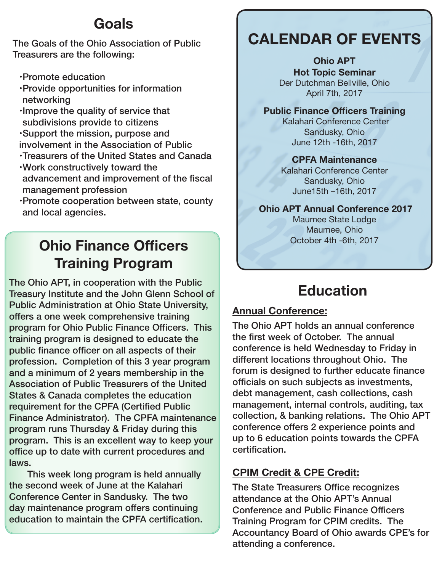# Goals

The Goals of the Ohio Association of Public Treasurers are the following:

- Promote education
- Provide opportunities for information networking
- Improve the quality of service that subdivisions provide to citizens
- Support the mission, purpose and involvement in the Association of Public
- Treasurers of the United States and Canada
- Work constructively toward the advancement and improvement of the fiscal management profession
- Promote cooperation between state, county and local agencies.

# Ohio Finance Officers Training Program

The Ohio APT, in cooperation with the Public Treasury Institute and the John Glenn School of Public Administration at Ohio State University, offers a one week comprehensive training program for Ohio Public Finance Officers. This training program is designed to educate the public finance officer on all aspects of their profession. Completion of this 3 year program and a minimum of 2 years membership in the Association of Public Treasurers of the United States & Canada completes the education requirement for the CPFA (Certified Public Finance Administrator). The CPFA maintenance program runs Thursday & Friday during this program. This is an excellent way to keep your office up to date with current procedures and laws.

 This week long program is held annually the second week of June at the Kalahari Conference Center in Sandusky. The two day maintenance program offers continuing education to maintain the CPFA certification.

# CALENDAR OF EVENTS

Ohio APT Hot Topic Seminar Der Dutchman Bellville, Ohio April 7th, 2017

#### Public Finance Officers Training

 Kalahari Conference Center Sandusky, Ohio June 12th -16th, 2017

### CPFA Maintenance

Kalahari Conference Center Sandusky, Ohio June15th –16th, 2017

### Ohio APT Annual Conference 2017

Maumee State Lodge Maumee, Ohio October 4th -6th, 2017

# Education

### Annual Conference:

The Ohio APT holds an annual conference the first week of October. The annual conference is held Wednesday to Friday in different locations throughout Ohio. The forum is designed to further educate finance officials on such subjects as investments, debt management, cash collections, cash management, internal controls, auditing, tax collection, & banking relations. The Ohio APT conference offers 2 experience points and up to 6 education points towards the CPFA certification.

## CPIM Credit & CPE Credit:

The State Treasurers Office recognizes attendance at the Ohio APT's Annual Conference and Public Finance Officers Training Program for CPIM credits. The Accountancy Board of Ohio awards CPE's for attending a conference.